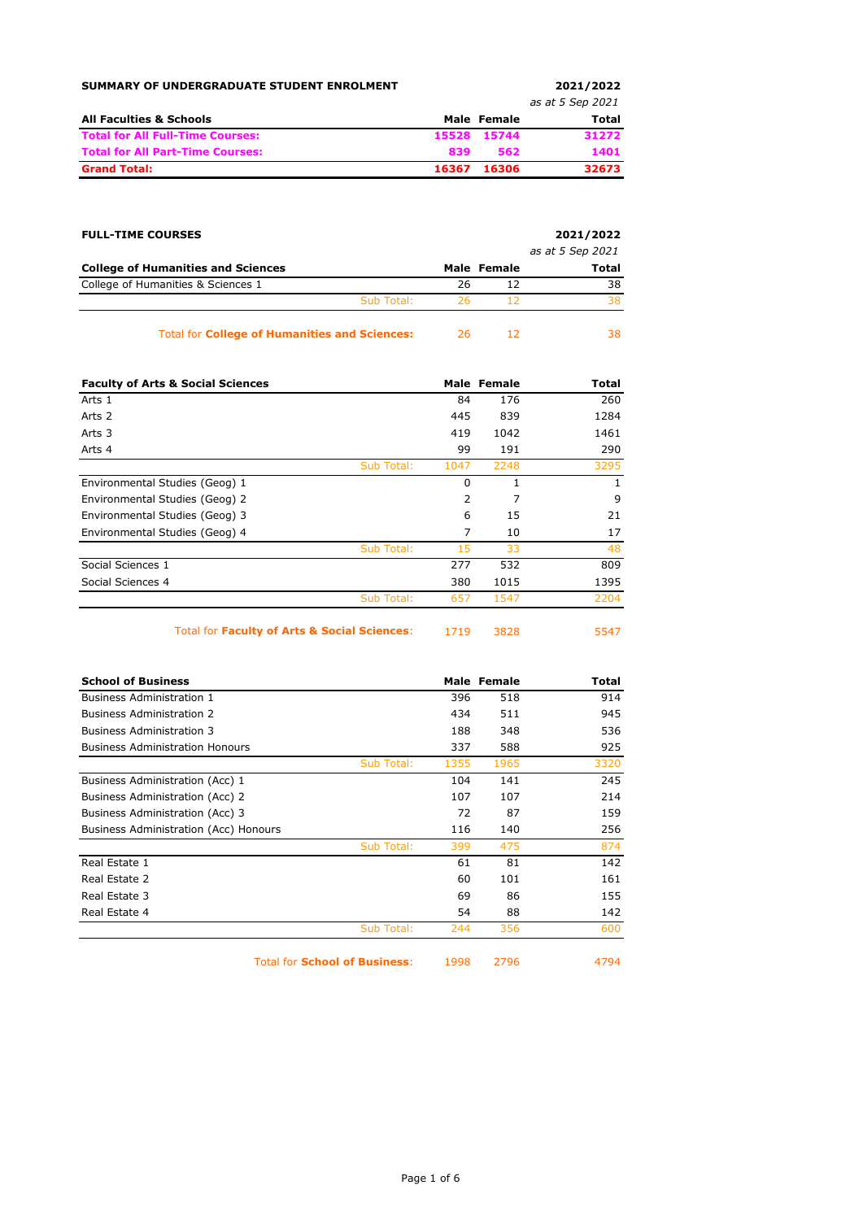| SUMMARY OF UNDERGRADUATE STUDENT ENROLMENT |       |             | 2021/2022        |
|--------------------------------------------|-------|-------------|------------------|
|                                            |       |             | as at 5 Sep 2021 |
| <b>All Faculties &amp; Schools</b>         |       | Male Female | Total            |
| <b>Total for All Full-Time Courses:</b>    |       | 15528 15744 | 31272            |
| <b>Total for All Part-Time Courses:</b>    | 839   | 562         | 1401             |
| <b>Grand Total:</b>                        | 16367 | 16306       | 32673            |

| <b>FULL-TIME COURSES</b>                             |     |             | 2021/2022        |
|------------------------------------------------------|-----|-------------|------------------|
|                                                      |     |             | as at 5 Sep 2021 |
| <b>College of Humanities and Sciences</b>            |     | Male Female | <b>Total</b>     |
| College of Humanities & Sciences 1                   | 26  | 12          | 38               |
| Sub Total:                                           | 26. | 12          | 38               |
| <b>Total for College of Humanities and Sciences:</b> | 26. | 12          | 38.              |

| <b>Faculty of Arts &amp; Social Sciences</b> |            |                | Male Female | Total |
|----------------------------------------------|------------|----------------|-------------|-------|
| Arts 1                                       |            | 84             | 176         | 260   |
| Arts 2                                       |            | 445            | 839         | 1284  |
| Arts 3                                       |            | 419            | 1042        | 1461  |
| Arts 4                                       |            | 99             | 191         | 290   |
|                                              | Sub Total: | 1047           | 2248        | 3295  |
| Environmental Studies (Geog) 1               |            | $\Omega$       | 1           | 1     |
| Environmental Studies (Geog) 2               |            | $\overline{2}$ | 7           | 9     |
| Environmental Studies (Geog) 3               |            | 6              | 15          | 21    |
| Environmental Studies (Geog) 4               |            | 7              | 10          | 17    |
|                                              | Sub Total: | 15             | 33          | 48    |
| Social Sciences 1                            |            | 277            | 532         | 809   |
| Social Sciences 4                            |            | 380            | 1015        | 1395  |
|                                              | Sub Total: | 657            | 1547        | 2204  |
|                                              |            |                |             |       |

Total for **Faculty of Arts & Social Sciences**: 1719 3828 5547

| i.<br>$\sim$ |  |  |  |
|--------------|--|--|--|
|              |  |  |  |

| <b>School of Business</b>              |      | Male Female | Total |
|----------------------------------------|------|-------------|-------|
| <b>Business Administration 1</b>       | 396  | 518         | 914   |
| <b>Business Administration 2</b>       | 434  | 511         | 945   |
| <b>Business Administration 3</b>       | 188  | 348         | 536   |
| <b>Business Administration Honours</b> | 337  | 588         | 925   |
| Sub Total:                             | 1355 | 1965        | 3320  |
| Business Administration (Acc) 1        | 104  | 141         | 245   |
| Business Administration (Acc) 2        | 107  | 107         | 214   |
| Business Administration (Acc) 3        | 72   | 87          | 159   |
| Business Administration (Acc) Honours  | 116  | 140         | 256   |
| Sub Total:                             | 399  | 475         | 874   |
| Real Estate 1                          | 61   | 81          | 142   |
| Real Estate 2                          | 60   | 101         | 161   |
| Real Estate 3                          | 69   | 86          | 155   |
| Real Estate 4                          | 54   | 88          | 142   |
| Sub Total:                             | 244  | 356         | 600   |
| <b>Total for School of Business:</b>   | 1998 | 2796        | 4794  |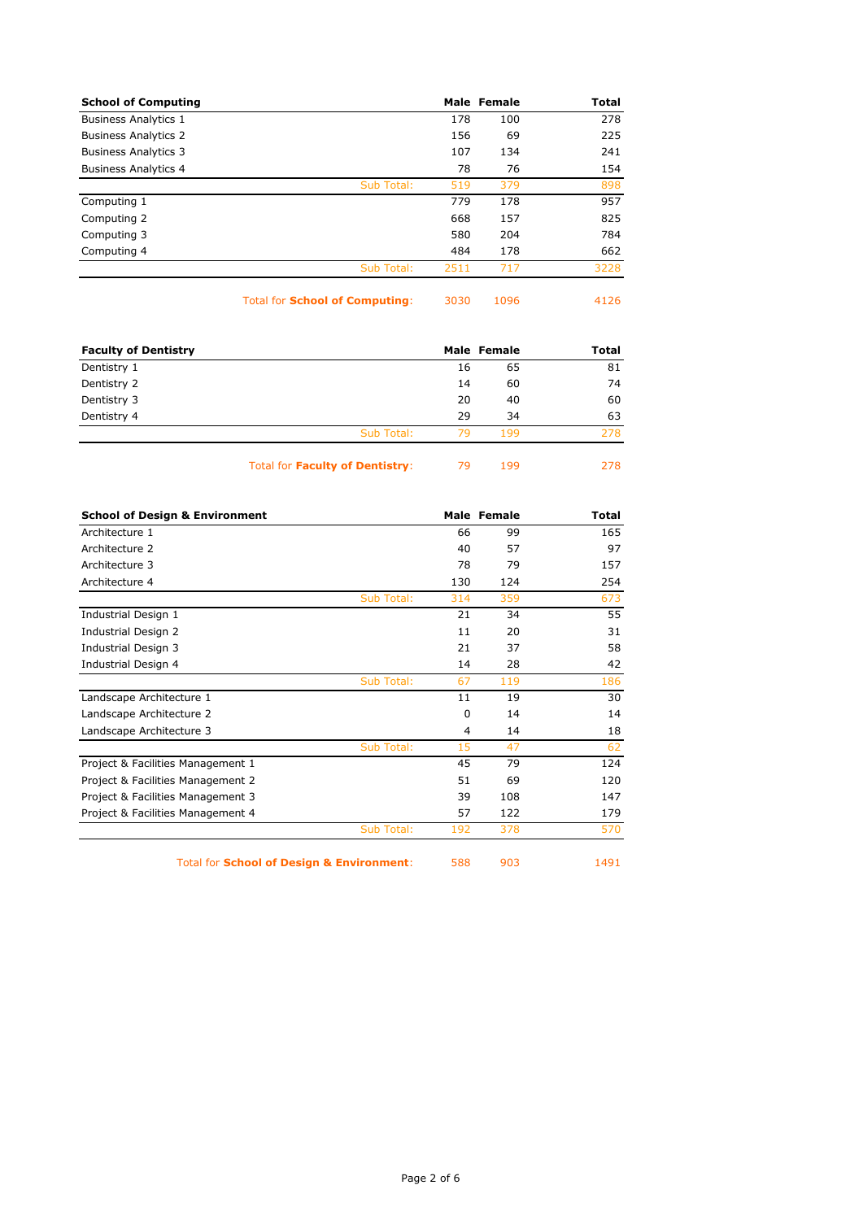|      |     | Total       |
|------|-----|-------------|
| 178  | 100 | 278         |
| 156  | 69  | 225         |
| 107  | 134 | 241         |
| 78   | 76  | 154         |
| 519  | 379 | 898         |
| 779  | 178 | 957         |
| 668  | 157 | 825         |
| 580  | 204 | 784         |
| 484  | 178 | 662         |
| 2511 | 717 | 3228        |
|      |     | Male Female |

Total for **School of Computing**: 3030 1096 4126

| <b>Faculty of Dentistry</b> |            | Male Female |     | <b>Total</b> |
|-----------------------------|------------|-------------|-----|--------------|
| Dentistry 1                 |            | 16          | 65  | 81           |
| Dentistry 2                 |            | 14          | 60  | 74           |
| Dentistry 3                 |            | 20          | 40  | 60           |
| Dentistry 4                 |            | 29          | 34  | 63           |
|                             | Sub Total: | 79          | 199 | 278          |
|                             |            |             |     |              |

Total for **Faculty of Dentistry**: 79 199 278

| <b>School of Design &amp; Environment</b> |            |          | Male Female | <b>Total</b> |
|-------------------------------------------|------------|----------|-------------|--------------|
| Architecture 1                            |            | 66       | 99          | 165          |
| Architecture 2                            |            | 40       | 57          | 97           |
| Architecture 3                            |            | 78       | 79          | 157          |
| Architecture 4                            |            | 130      | 124         | 254          |
|                                           | Sub Total: | 314      | 359         | 673          |
| Industrial Design 1                       |            | 21       | 34          | 55           |
| Industrial Design 2                       |            | 11       | 20          | 31           |
| Industrial Design 3                       |            | 21       | 37          | 58           |
| Industrial Design 4                       |            | 14       | 28          | 42           |
|                                           | Sub Total: | 67       | 119         | 186          |
| Landscape Architecture 1                  |            | 11       | 19          | 30           |
| Landscape Architecture 2                  |            | $\Omega$ | 14          | 14           |
| Landscape Architecture 3                  |            | 4        | 14          | 18           |
|                                           | Sub Total: | 15       | 47          | 62           |
| Project & Facilities Management 1         |            | 45       | 79          | 124          |
| Project & Facilities Management 2         |            | 51       | 69          | 120          |
| Project & Facilities Management 3         |            | 39       | 108         | 147          |
| Project & Facilities Management 4         |            | 57       | 122         | 179          |
|                                           | Sub Total: | 192      | 378         | 570          |

Total for **School of Design & Environment**: 588 903 1491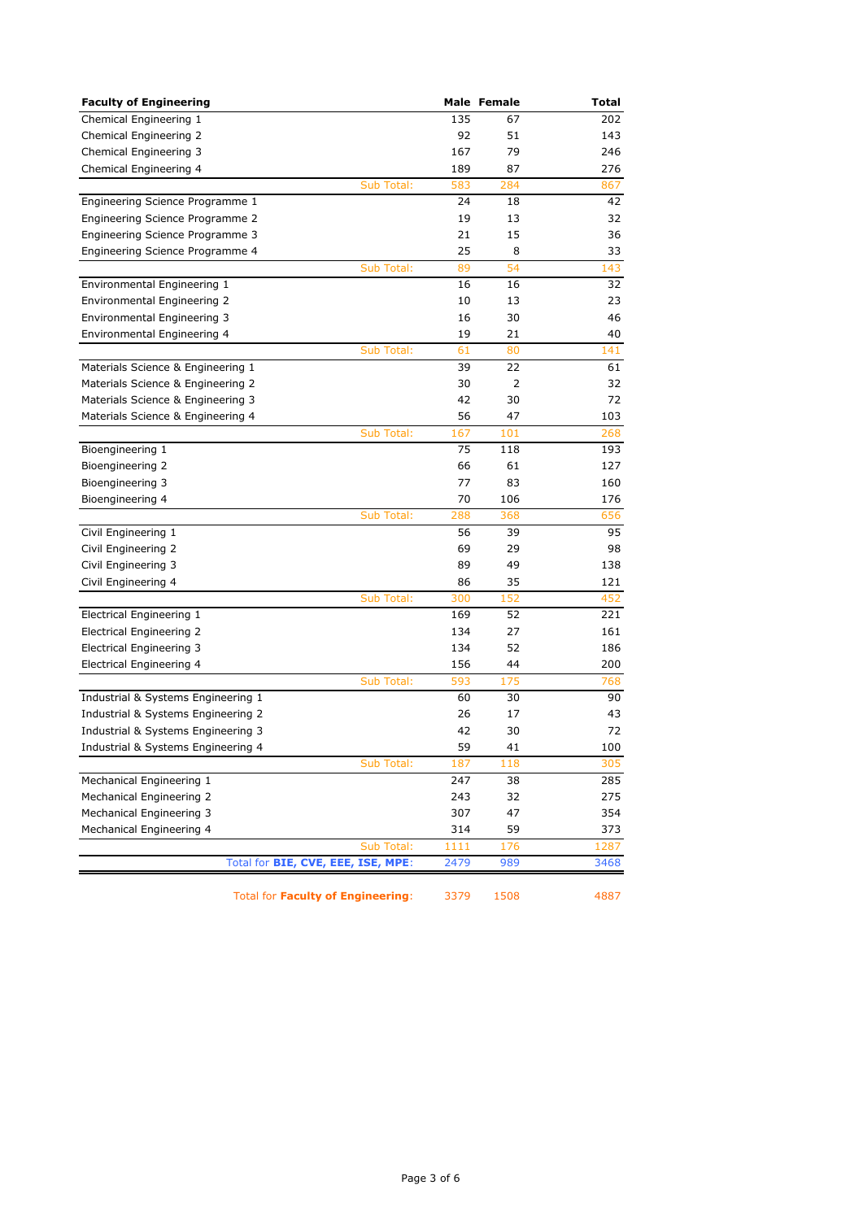| <b>Faculty of Engineering</b>              |      | Male Female | Total |
|--------------------------------------------|------|-------------|-------|
| Chemical Engineering 1                     | 135  | 67          | 202   |
| Chemical Engineering 2                     | 92   | 51          | 143   |
| Chemical Engineering 3                     | 167  | 79          | 246   |
| Chemical Engineering 4                     | 189  | 87          | 276   |
| Sub Total:                                 | 583  | 284         | 867   |
| Engineering Science Programme 1            | 24   | 18          | 42    |
| Engineering Science Programme 2            | 19   | 13          | 32    |
| Engineering Science Programme 3            | 21   | 15          | 36    |
| Engineering Science Programme 4            | 25   | 8           | 33    |
| Sub Total:                                 | 89   | 54          | 143   |
| Environmental Engineering 1                | 16   | 16          | 32    |
| Environmental Engineering 2                | 10   | 13          | 23    |
| Environmental Engineering 3                | 16   | 30          | 46    |
| Environmental Engineering 4                | 19   | 21          | 40    |
| Sub Total:                                 | 61   | 80          | 141   |
| Materials Science & Engineering 1          | 39   | 22          | 61    |
| Materials Science & Engineering 2          | 30   | 2           | 32    |
| Materials Science & Engineering 3          | 42   | 30          | 72    |
| Materials Science & Engineering 4          | 56   | 47          | 103   |
| Sub Total:                                 | 167  | 101         | 268   |
| Bioengineering 1                           | 75   | 118         | 193   |
| Bioengineering 2                           | 66   | 61          | 127   |
| Bioengineering 3                           | 77   | 83          | 160   |
| Bioengineering 4                           | 70   | 106         | 176   |
| Sub Total:                                 | 288  | 368         | 656   |
| Civil Engineering 1                        | 56   | 39          | 95    |
| Civil Engineering 2                        | 69   | 29          | 98    |
| Civil Engineering 3                        | 89   | 49          | 138   |
| Civil Engineering 4                        | 86   | 35          | 121   |
| Sub Total:                                 | 300  | 152         | 452   |
| Electrical Engineering 1                   | 169  | 52          | 221   |
| Electrical Engineering 2                   | 134  | 27          | 161   |
| Electrical Engineering 3                   | 134  | 52          | 186   |
| <b>Electrical Engineering 4</b>            | 156  | 44          | 200   |
| Sub Total:                                 | 593  | 175         | 768   |
| Industrial & Systems Engineering 1         | 60   | 30          | 90    |
| Industrial & Systems Engineering 2         | 26   | 17          | 43    |
| Industrial & Systems Engineering 3         | 42   | 30          | 72    |
| Industrial & Systems Engineering 4         | 59   | 41          | 100   |
| Sub Total:                                 | 187  | 118         | 305   |
| Mechanical Engineering 1                   | 247  | 38          | 285   |
| Mechanical Engineering 2                   | 243  | 32          | 275   |
| Mechanical Engineering 3                   | 307  | 47          | 354   |
| Mechanical Engineering 4                   | 314  | 59          | 373   |
| Sub Total:                                 | 1111 | 176         | 1287  |
| Total for <b>BIE, CVE, EEE, ISE, MPE</b> : | 2479 | 989         | 3468  |
|                                            |      |             |       |

Total for **Faculty of Engineering**: 3379 1508 4887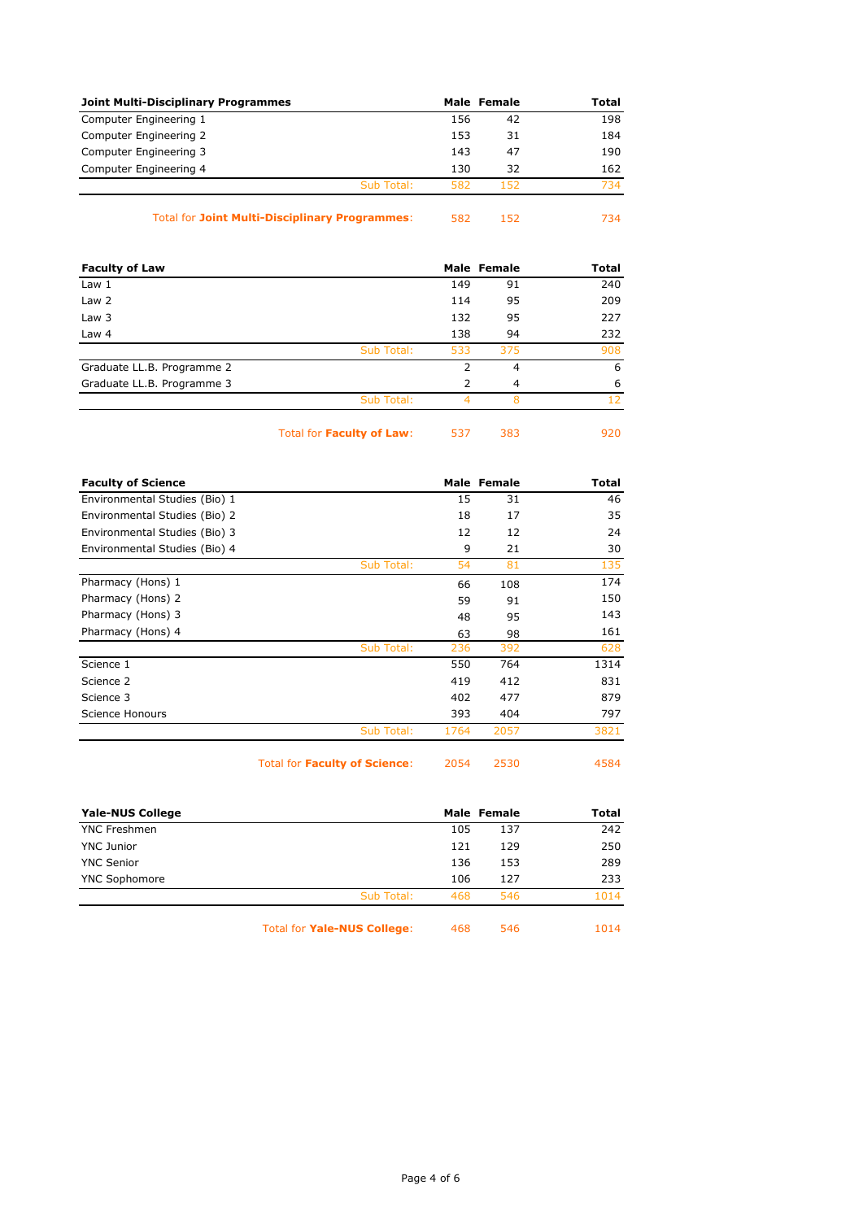| <b>Joint Multi-Disciplinary Programmes</b> |            |     | Male Female | Total |
|--------------------------------------------|------------|-----|-------------|-------|
| Computer Engineering 1                     |            | 156 | 42          | 198   |
| Computer Engineering 2                     |            | 153 | 31          | 184   |
| Computer Engineering 3                     |            | 143 | 47          | 190   |
| Computer Engineering 4                     |            | 130 | 32          | 162   |
|                                            | Sub Total: | 582 | 152         | 734   |
|                                            |            |     |             |       |

## Total for **Joint Multi-Disciplinary Programmes**: 582 152 734

| <b>Faculty of Law</b>      |            |     | Male Female | <b>Total</b> |
|----------------------------|------------|-----|-------------|--------------|
| Law <sub>1</sub>           |            | 149 | 91          | 240          |
| Law 2                      |            | 114 | 95          | 209          |
| Law 3                      |            | 132 | 95          | 227          |
| Law 4                      |            | 138 | 94          | 232          |
|                            | Sub Total: | 533 | 375         | 908          |
| Graduate LL.B. Programme 2 |            | 2   | 4           | 6            |
| Graduate LL.B. Programme 3 |            | 2   | 4           | 6            |
|                            | Sub Total: |     | 8           | 12           |
|                            |            |     |             |              |

Total for **Faculty of Law**: 537 383 920

| <b>Faculty of Science</b>     |            |      | Male Female | <b>Total</b> |
|-------------------------------|------------|------|-------------|--------------|
| Environmental Studies (Bio) 1 |            | 15   | 31          | 46           |
| Environmental Studies (Bio) 2 |            | 18   | 17          | 35           |
| Environmental Studies (Bio) 3 |            | 12   | 12          | 24           |
| Environmental Studies (Bio) 4 |            | 9    | 21          | 30           |
|                               | Sub Total: | 54   | 81          | 135          |
| Pharmacy (Hons) 1             |            | 66   | 108         | 174          |
| Pharmacy (Hons) 2             |            | 59   | 91          | 150          |
| Pharmacy (Hons) 3             |            | 48   | 95          | 143          |
| Pharmacy (Hons) 4             |            | 63   | 98          | 161          |
|                               | Sub Total: | 236  | 392         | 628          |
| Science 1                     |            | 550  | 764         | 1314         |
| Science 2                     |            | 419  | 412         | 831          |
| Science 3                     |            | 402  | 477         | 879          |
| Science Honours               |            | 393  | 404         | 797          |
|                               | Sub Total: | 1764 | 2057        | 3821         |

Total for **Faculty of Science**: 2054 2530 4584

| <b>Yale-NUS College</b> |            | Male Female |     | Total |
|-------------------------|------------|-------------|-----|-------|
| <b>YNC Freshmen</b>     |            | 105         | 137 | 242   |
| <b>YNC Junior</b>       |            | 121         | 129 | 250   |
| <b>YNC Senior</b>       |            | 136         | 153 | 289   |
| <b>YNC Sophomore</b>    |            | 106         | 127 | 233   |
|                         | Sub Total: | 468         | 546 | 1014  |
|                         |            |             |     |       |

Total for **Yale-NUS College**: 468 546 1014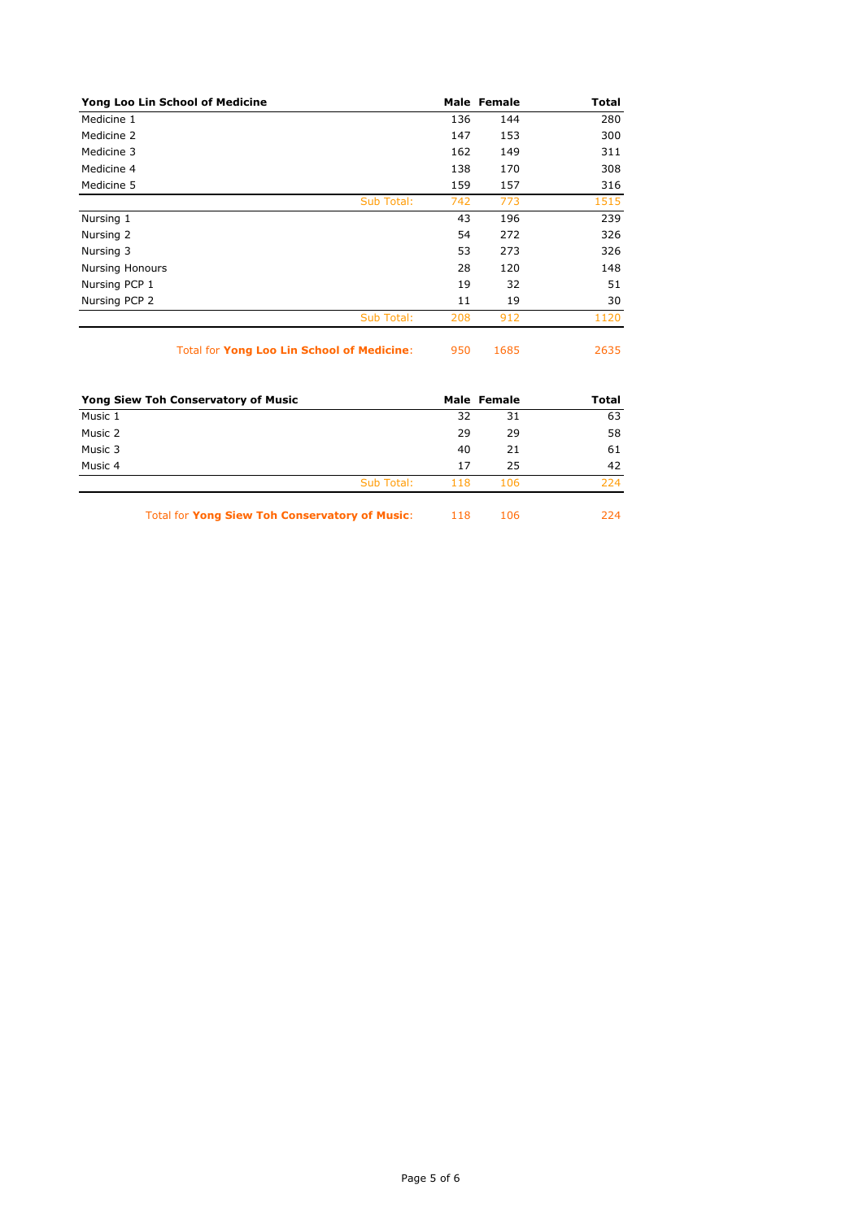| Yong Loo Lin School of Medicine |            |     | Male Female | <b>Total</b> |
|---------------------------------|------------|-----|-------------|--------------|
| Medicine 1                      |            | 136 | 144         | 280          |
| Medicine 2                      |            | 147 | 153         | 300          |
| Medicine 3                      |            | 162 | 149         | 311          |
| Medicine 4                      |            | 138 | 170         | 308          |
| Medicine 5                      |            | 159 | 157         | 316          |
|                                 | Sub Total: | 742 | 773         | 1515         |
| Nursing 1                       |            | 43  | 196         | 239          |
| Nursing 2                       |            | 54  | 272         | 326          |
| Nursing 3                       |            | 53  | 273         | 326          |
| <b>Nursing Honours</b>          |            | 28  | 120         | 148          |
| Nursing PCP 1                   |            | 19  | 32          | 51           |
| Nursing PCP 2                   |            | 11  | 19          | 30           |
|                                 | Sub Total: | 208 | 912         | 1120         |
|                                 |            |     |             |              |

Total for **Yong Loo Lin School of Medicine**: 950 1685 2635

| Yong Siew Toh Conservatory of Music |            |     | Male Female | <b>Total</b> |
|-------------------------------------|------------|-----|-------------|--------------|
| Music 1                             |            | 32  | 31          | 63           |
| Music 2                             |            | 29  | 29          | 58           |
| Music 3                             |            | 40  | 21          | 61           |
| Music 4                             |            | 17  | 25          | 42           |
|                                     | Sub Total: | 118 | 106         | 224          |
|                                     |            |     |             |              |

Total for **Yong Siew Toh Conservatory of Music**: 118 106 224